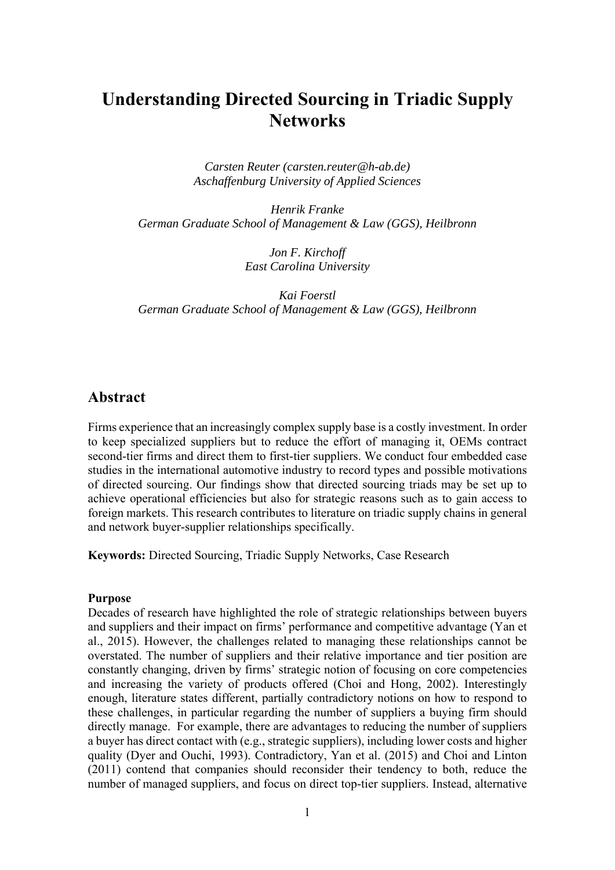# **Understanding Directed Sourcing in Triadic Supply Networks**

*Carsten Reuter (carsten.reuter@h-ab.de) Aschaffenburg University of Applied Sciences* 

*Henrik Franke German Graduate School of Management & Law (GGS), Heilbronn* 

> *Jon F. Kirchoff East Carolina University*

*Kai Foerstl German Graduate School of Management & Law (GGS), Heilbronn* 

## **Abstract**

Firms experience that an increasingly complex supply base is a costly investment. In order to keep specialized suppliers but to reduce the effort of managing it, OEMs contract second-tier firms and direct them to first-tier suppliers. We conduct four embedded case studies in the international automotive industry to record types and possible motivations of directed sourcing. Our findings show that directed sourcing triads may be set up to achieve operational efficiencies but also for strategic reasons such as to gain access to foreign markets. This research contributes to literature on triadic supply chains in general and network buyer-supplier relationships specifically.

**Keywords:** Directed Sourcing, Triadic Supply Networks, Case Research

### **Purpose**

Decades of research have highlighted the role of strategic relationships between buyers and suppliers and their impact on firms' performance and competitive advantage (Yan et al., 2015). However, the challenges related to managing these relationships cannot be overstated. The number of suppliers and their relative importance and tier position are constantly changing, driven by firms' strategic notion of focusing on core competencies and increasing the variety of products offered (Choi and Hong, 2002). Interestingly enough, literature states different, partially contradictory notions on how to respond to these challenges, in particular regarding the number of suppliers a buying firm should directly manage. For example, there are advantages to reducing the number of suppliers a buyer has direct contact with (e.g., strategic suppliers), including lower costs and higher quality (Dyer and Ouchi, 1993). Contradictory, Yan et al. (2015) and Choi and Linton (2011) contend that companies should reconsider their tendency to both, reduce the number of managed suppliers, and focus on direct top-tier suppliers. Instead, alternative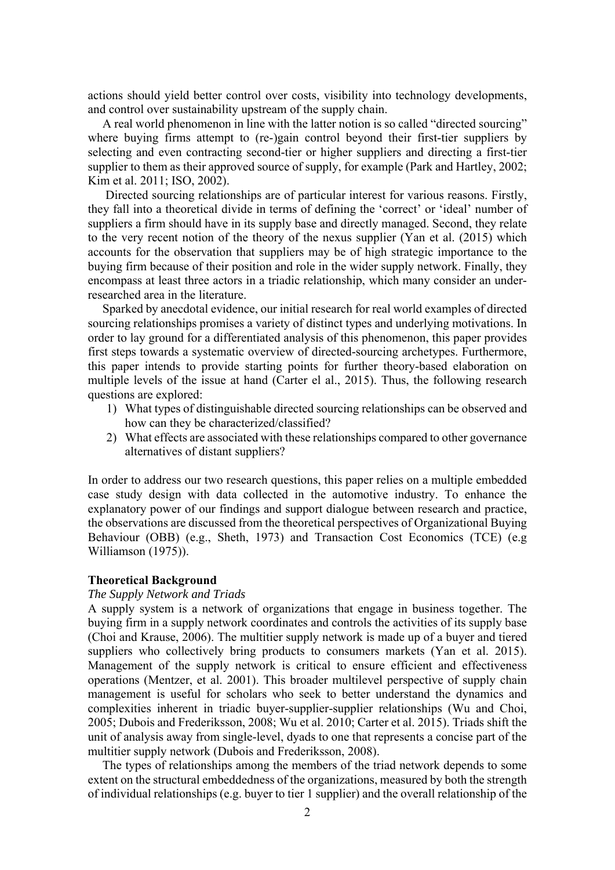actions should yield better control over costs, visibility into technology developments, and control over sustainability upstream of the supply chain.

A real world phenomenon in line with the latter notion is so called "directed sourcing" where buying firms attempt to (re-)gain control beyond their first-tier suppliers by selecting and even contracting second-tier or higher suppliers and directing a first-tier supplier to them as their approved source of supply, for example (Park and Hartley, 2002; Kim et al. 2011; ISO, 2002).

 Directed sourcing relationships are of particular interest for various reasons. Firstly, they fall into a theoretical divide in terms of defining the 'correct' or 'ideal' number of suppliers a firm should have in its supply base and directly managed. Second, they relate to the very recent notion of the theory of the nexus supplier (Yan et al. (2015) which accounts for the observation that suppliers may be of high strategic importance to the buying firm because of their position and role in the wider supply network. Finally, they encompass at least three actors in a triadic relationship, which many consider an underresearched area in the literature.

Sparked by anecdotal evidence, our initial research for real world examples of directed sourcing relationships promises a variety of distinct types and underlying motivations. In order to lay ground for a differentiated analysis of this phenomenon, this paper provides first steps towards a systematic overview of directed-sourcing archetypes. Furthermore, this paper intends to provide starting points for further theory-based elaboration on multiple levels of the issue at hand (Carter el al., 2015). Thus, the following research questions are explored:

- 1) What types of distinguishable directed sourcing relationships can be observed and how can they be characterized/classified?
- 2) What effects are associated with these relationships compared to other governance alternatives of distant suppliers?

In order to address our two research questions, this paper relies on a multiple embedded case study design with data collected in the automotive industry. To enhance the explanatory power of our findings and support dialogue between research and practice, the observations are discussed from the theoretical perspectives of Organizational Buying Behaviour (OBB) (e.g., Sheth, 1973) and Transaction Cost Economics (TCE) (e.g Williamson (1975)).

#### **Theoretical Background**

### *The Supply Network and Triads*

A supply system is a network of organizations that engage in business together. The buying firm in a supply network coordinates and controls the activities of its supply base (Choi and Krause, 2006). The multitier supply network is made up of a buyer and tiered suppliers who collectively bring products to consumers markets (Yan et al. 2015). Management of the supply network is critical to ensure efficient and effectiveness operations (Mentzer, et al. 2001). This broader multilevel perspective of supply chain management is useful for scholars who seek to better understand the dynamics and complexities inherent in triadic buyer-supplier-supplier relationships (Wu and Choi, 2005; Dubois and Frederiksson, 2008; Wu et al. 2010; Carter et al. 2015). Triads shift the unit of analysis away from single-level, dyads to one that represents a concise part of the multitier supply network (Dubois and Frederiksson, 2008).

The types of relationships among the members of the triad network depends to some extent on the structural embeddedness of the organizations, measured by both the strength of individual relationships (e.g. buyer to tier 1 supplier) and the overall relationship of the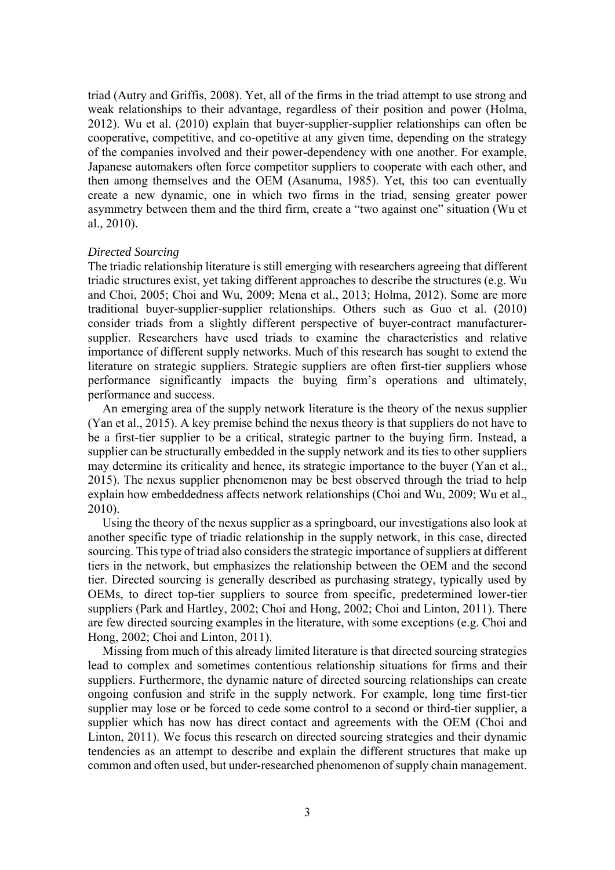triad (Autry and Griffis, 2008). Yet, all of the firms in the triad attempt to use strong and weak relationships to their advantage, regardless of their position and power (Holma, 2012). Wu et al. (2010) explain that buyer-supplier-supplier relationships can often be cooperative, competitive, and co-opetitive at any given time, depending on the strategy of the companies involved and their power-dependency with one another. For example, Japanese automakers often force competitor suppliers to cooperate with each other, and then among themselves and the OEM (Asanuma, 1985). Yet, this too can eventually create a new dynamic, one in which two firms in the triad, sensing greater power asymmetry between them and the third firm, create a "two against one" situation (Wu et al., 2010).

### *Directed Sourcing*

The triadic relationship literature is still emerging with researchers agreeing that different triadic structures exist, yet taking different approaches to describe the structures (e.g. Wu and Choi, 2005; Choi and Wu, 2009; Mena et al., 2013; Holma, 2012). Some are more traditional buyer-supplier-supplier relationships. Others such as Guo et al. (2010) consider triads from a slightly different perspective of buyer-contract manufacturersupplier. Researchers have used triads to examine the characteristics and relative importance of different supply networks. Much of this research has sought to extend the literature on strategic suppliers. Strategic suppliers are often first-tier suppliers whose performance significantly impacts the buying firm's operations and ultimately, performance and success.

An emerging area of the supply network literature is the theory of the nexus supplier (Yan et al., 2015). A key premise behind the nexus theory is that suppliers do not have to be a first-tier supplier to be a critical, strategic partner to the buying firm. Instead, a supplier can be structurally embedded in the supply network and its ties to other suppliers may determine its criticality and hence, its strategic importance to the buyer (Yan et al., 2015). The nexus supplier phenomenon may be best observed through the triad to help explain how embeddedness affects network relationships (Choi and Wu, 2009; Wu et al., 2010).

Using the theory of the nexus supplier as a springboard, our investigations also look at another specific type of triadic relationship in the supply network, in this case, directed sourcing. This type of triad also considers the strategic importance of suppliers at different tiers in the network, but emphasizes the relationship between the OEM and the second tier. Directed sourcing is generally described as purchasing strategy, typically used by OEMs, to direct top-tier suppliers to source from specific, predetermined lower-tier suppliers (Park and Hartley, 2002; Choi and Hong, 2002; Choi and Linton, 2011). There are few directed sourcing examples in the literature, with some exceptions (e.g. Choi and Hong, 2002; Choi and Linton, 2011).

Missing from much of this already limited literature is that directed sourcing strategies lead to complex and sometimes contentious relationship situations for firms and their suppliers. Furthermore, the dynamic nature of directed sourcing relationships can create ongoing confusion and strife in the supply network. For example, long time first-tier supplier may lose or be forced to cede some control to a second or third-tier supplier, a supplier which has now has direct contact and agreements with the OEM (Choi and Linton, 2011). We focus this research on directed sourcing strategies and their dynamic tendencies as an attempt to describe and explain the different structures that make up common and often used, but under-researched phenomenon of supply chain management.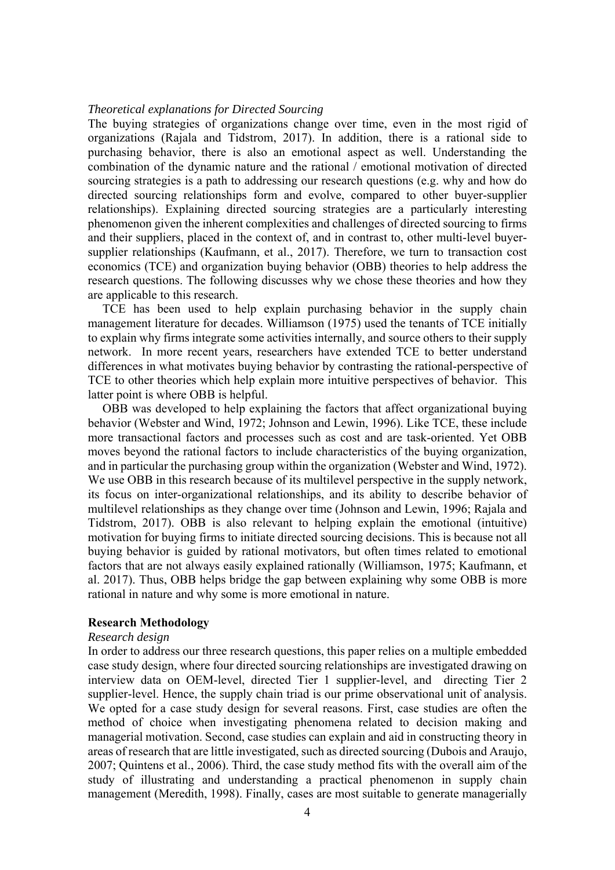#### *Theoretical explanations for Directed Sourcing*

The buying strategies of organizations change over time, even in the most rigid of organizations (Rajala and Tidstrom, 2017). In addition, there is a rational side to purchasing behavior, there is also an emotional aspect as well. Understanding the combination of the dynamic nature and the rational / emotional motivation of directed sourcing strategies is a path to addressing our research questions (e.g. why and how do directed sourcing relationships form and evolve, compared to other buyer-supplier relationships). Explaining directed sourcing strategies are a particularly interesting phenomenon given the inherent complexities and challenges of directed sourcing to firms and their suppliers, placed in the context of, and in contrast to, other multi-level buyersupplier relationships (Kaufmann, et al., 2017). Therefore, we turn to transaction cost economics (TCE) and organization buying behavior (OBB) theories to help address the research questions. The following discusses why we chose these theories and how they are applicable to this research.

TCE has been used to help explain purchasing behavior in the supply chain management literature for decades. Williamson (1975) used the tenants of TCE initially to explain why firms integrate some activities internally, and source others to their supply network. In more recent years, researchers have extended TCE to better understand differences in what motivates buying behavior by contrasting the rational-perspective of TCE to other theories which help explain more intuitive perspectives of behavior. This latter point is where OBB is helpful.

OBB was developed to help explaining the factors that affect organizational buying behavior (Webster and Wind, 1972; Johnson and Lewin, 1996). Like TCE, these include more transactional factors and processes such as cost and are task-oriented. Yet OBB moves beyond the rational factors to include characteristics of the buying organization, and in particular the purchasing group within the organization (Webster and Wind, 1972). We use OBB in this research because of its multilevel perspective in the supply network, its focus on inter-organizational relationships, and its ability to describe behavior of multilevel relationships as they change over time (Johnson and Lewin, 1996; Rajala and Tidstrom, 2017). OBB is also relevant to helping explain the emotional (intuitive) motivation for buying firms to initiate directed sourcing decisions. This is because not all buying behavior is guided by rational motivators, but often times related to emotional factors that are not always easily explained rationally (Williamson, 1975; Kaufmann, et al. 2017). Thus, OBB helps bridge the gap between explaining why some OBB is more rational in nature and why some is more emotional in nature.

## **Research Methodology**

#### *Research design*

In order to address our three research questions, this paper relies on a multiple embedded case study design, where four directed sourcing relationships are investigated drawing on interview data on OEM-level, directed Tier 1 supplier-level, and directing Tier 2 supplier-level. Hence, the supply chain triad is our prime observational unit of analysis. We opted for a case study design for several reasons. First, case studies are often the method of choice when investigating phenomena related to decision making and managerial motivation. Second, case studies can explain and aid in constructing theory in areas of research that are little investigated, such as directed sourcing (Dubois and Araujo, 2007; Quintens et al., 2006). Third, the case study method fits with the overall aim of the study of illustrating and understanding a practical phenomenon in supply chain management (Meredith, 1998). Finally, cases are most suitable to generate managerially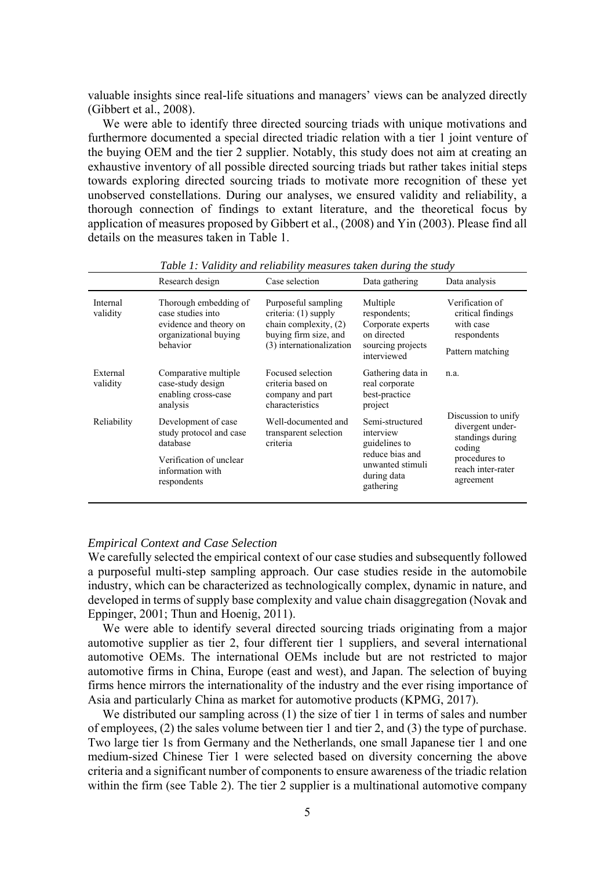valuable insights since real-life situations and managers' views can be analyzed directly (Gibbert et al., 2008).

We were able to identify three directed sourcing triads with unique motivations and furthermore documented a special directed triadic relation with a tier 1 joint venture of the buying OEM and the tier 2 supplier. Notably, this study does not aim at creating an exhaustive inventory of all possible directed sourcing triads but rather takes initial steps towards exploring directed sourcing triads to motivate more recognition of these yet unobserved constellations. During our analyses, we ensured validity and reliability, a thorough connection of findings to extant literature, and the theoretical focus by application of measures proposed by Gibbert et al., (2008) and Yin (2003). Please find all details on the measures taken in Table 1.

|                      | Research design                                                                                                          | Case selection                                                                                                            | Data gathering                                                                                                   | Data analysis                                                                                                            |
|----------------------|--------------------------------------------------------------------------------------------------------------------------|---------------------------------------------------------------------------------------------------------------------------|------------------------------------------------------------------------------------------------------------------|--------------------------------------------------------------------------------------------------------------------------|
| Internal<br>validity | Thorough embedding of<br>case studies into<br>evidence and theory on<br>organizational buying<br>behavior                | Purposeful sampling<br>criteria: (1) supply<br>chain complexity, (2)<br>buying firm size, and<br>(3) internationalization | Multiple<br>respondents;<br>Corporate experts<br>on directed<br>sourcing projects<br>interviewed                 | Verification of<br>critical findings<br>with case<br>respondents<br>Pattern matching                                     |
| External<br>validity | Comparative multiple<br>case-study design<br>enabling cross-case<br>analysis                                             | Focused selection<br>criteria based on<br>company and part<br>characteristics                                             | Gathering data in<br>real corporate<br>best-practice<br>project                                                  | n.a.                                                                                                                     |
| Reliability          | Development of case<br>study protocol and case<br>database<br>Verification of unclear<br>information with<br>respondents | Well-documented and<br>transparent selection<br>criteria                                                                  | Semi-structured<br>interview<br>guidelines to<br>reduce bias and<br>unwanted stimuli<br>during data<br>gathering | Discussion to unify<br>divergent under-<br>standings during<br>coding<br>procedures to<br>reach inter-rater<br>agreement |

*Table 1: Validity and reliability measures taken during the study* 

#### *Empirical Context and Case Selection*

We carefully selected the empirical context of our case studies and subsequently followed a purposeful multi-step sampling approach. Our case studies reside in the automobile industry, which can be characterized as technologically complex, dynamic in nature, and developed in terms of supply base complexity and value chain disaggregation (Novak and Eppinger, 2001; Thun and Hoenig, 2011).

We were able to identify several directed sourcing triads originating from a major automotive supplier as tier 2, four different tier 1 suppliers, and several international automotive OEMs. The international OEMs include but are not restricted to major automotive firms in China, Europe (east and west), and Japan. The selection of buying firms hence mirrors the internationality of the industry and the ever rising importance of Asia and particularly China as market for automotive products (KPMG, 2017).

We distributed our sampling across (1) the size of tier 1 in terms of sales and number of employees, (2) the sales volume between tier 1 and tier 2, and (3) the type of purchase. Two large tier 1s from Germany and the Netherlands, one small Japanese tier 1 and one medium-sized Chinese Tier 1 were selected based on diversity concerning the above criteria and a significant number of components to ensure awareness of the triadic relation within the firm (see Table 2). The tier 2 supplier is a multinational automotive company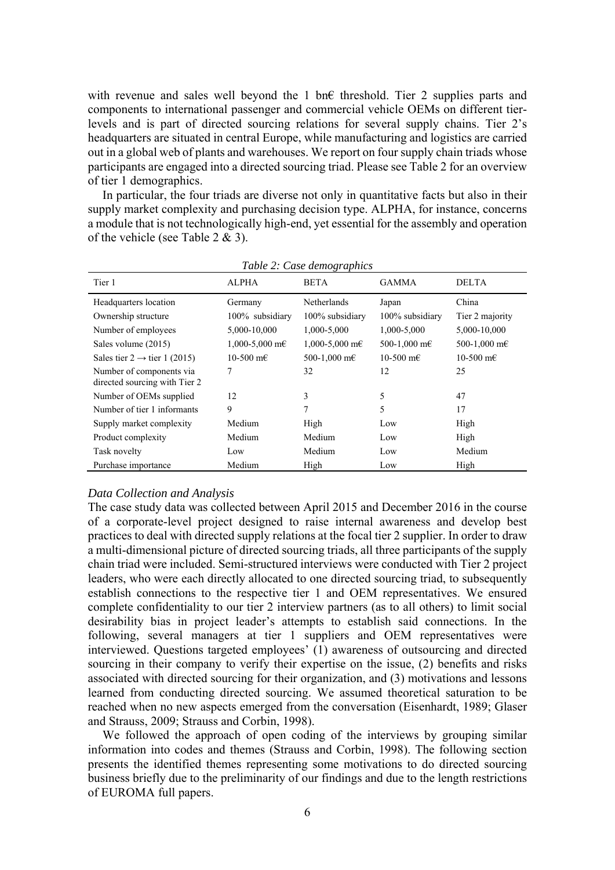with revenue and sales well beyond the 1 bn€ threshold. Tier 2 supplies parts and components to international passenger and commercial vehicle OEMs on different tierlevels and is part of directed sourcing relations for several supply chains. Tier 2's headquarters are situated in central Europe, while manufacturing and logistics are carried out in a global web of plants and warehouses. We report on four supply chain triads whose participants are engaged into a directed sourcing triad. Please see Table 2 for an overview of tier 1 demographics.

In particular, the four triads are diverse not only in quantitative facts but also in their supply market complexity and purchasing decision type. ALPHA, for instance, concerns a module that is not technologically high-end, yet essential for the assembly and operation of the vehicle (see Table  $2 \& 3$ ).

| Tier 1                                                    | <b>ALPHA</b>            | <b>BETA</b>                  | <b>GAMMA</b>    | <b>DELTA</b>    |
|-----------------------------------------------------------|-------------------------|------------------------------|-----------------|-----------------|
| Headquarters location                                     | Germany                 | Netherlands                  | Japan           | China           |
| Ownership structure                                       | 100% subsidiary         | 100% subsidiary              | 100% subsidiary | Tier 2 majority |
| Number of employees                                       | 5,000-10,000            | 1,000-5,000                  | 1,000-5,000     | 5,000-10,000    |
| Sales volume (2015)                                       | $1,000 - 5,000$ m $\in$ | $1,000 - 5,000$ m $\epsilon$ | 500-1,000 m€    | 500-1,000 m€    |
| Sales tier $2 \rightarrow$ tier 1 (2015)                  | 10-500 m€               | 500-1,000 m€                 | 10-500 m€       | 10-500 m€       |
| Number of components via<br>directed sourcing with Tier 2 | 7                       | 32                           | 12              | 25              |
| Number of OEMs supplied                                   | 12                      | 3                            | 5               | 47              |
| Number of tier 1 informants                               | 9                       | 7                            | 5               | 17              |
| Supply market complexity                                  | Medium                  | High                         | Low             | High            |
| Product complexity                                        | Medium                  | Medium                       | Low             | High            |
| Task novelty                                              | Low                     | Medium                       | Low             | Medium          |
| Purchase importance                                       | Medium                  | High                         | Low             | High            |

*Table 2: Case demographics* 

### *Data Collection and Analysis*

The case study data was collected between April 2015 and December 2016 in the course of a corporate-level project designed to raise internal awareness and develop best practices to deal with directed supply relations at the focal tier 2 supplier. In order to draw a multi-dimensional picture of directed sourcing triads, all three participants of the supply chain triad were included. Semi-structured interviews were conducted with Tier 2 project leaders, who were each directly allocated to one directed sourcing triad, to subsequently establish connections to the respective tier 1 and OEM representatives. We ensured complete confidentiality to our tier 2 interview partners (as to all others) to limit social desirability bias in project leader's attempts to establish said connections. In the following, several managers at tier 1 suppliers and OEM representatives were interviewed. Questions targeted employees' (1) awareness of outsourcing and directed sourcing in their company to verify their expertise on the issue, (2) benefits and risks associated with directed sourcing for their organization, and (3) motivations and lessons learned from conducting directed sourcing. We assumed theoretical saturation to be reached when no new aspects emerged from the conversation (Eisenhardt, 1989; Glaser and Strauss, 2009; Strauss and Corbin, 1998).

We followed the approach of open coding of the interviews by grouping similar information into codes and themes (Strauss and Corbin, 1998). The following section presents the identified themes representing some motivations to do directed sourcing business briefly due to the preliminarity of our findings and due to the length restrictions of EUROMA full papers.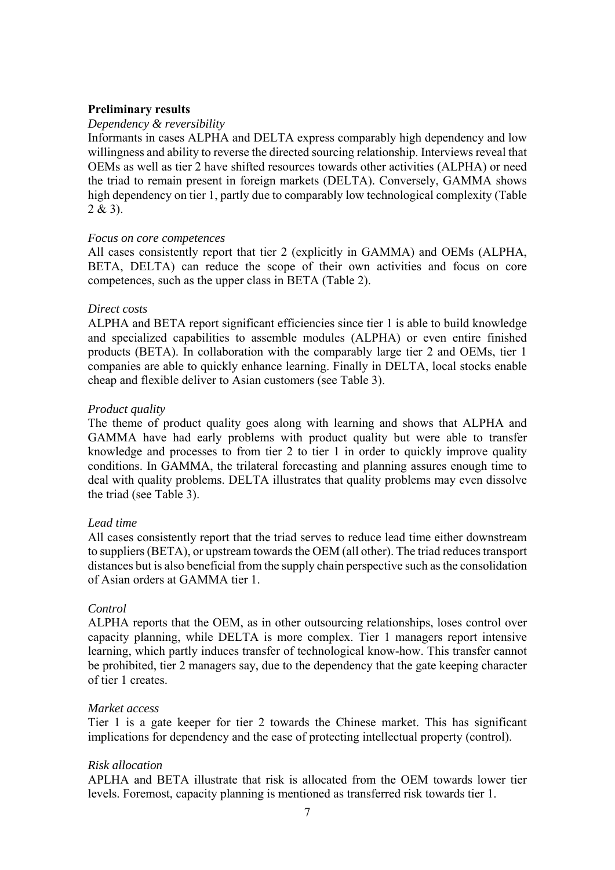## **Preliminary results**

## *Dependency & reversibility*

Informants in cases ALPHA and DELTA express comparably high dependency and low willingness and ability to reverse the directed sourcing relationship. Interviews reveal that OEMs as well as tier 2 have shifted resources towards other activities (ALPHA) or need the triad to remain present in foreign markets (DELTA). Conversely, GAMMA shows high dependency on tier 1, partly due to comparably low technological complexity (Table  $2 & 3$ ).

## *Focus on core competences*

All cases consistently report that tier 2 (explicitly in GAMMA) and OEMs (ALPHA, BETA, DELTA) can reduce the scope of their own activities and focus on core competences, such as the upper class in BETA (Table 2).

## *Direct costs*

ALPHA and BETA report significant efficiencies since tier 1 is able to build knowledge and specialized capabilities to assemble modules (ALPHA) or even entire finished products (BETA). In collaboration with the comparably large tier 2 and OEMs, tier 1 companies are able to quickly enhance learning. Finally in DELTA, local stocks enable cheap and flexible deliver to Asian customers (see Table 3).

## *Product quality*

The theme of product quality goes along with learning and shows that ALPHA and GAMMA have had early problems with product quality but were able to transfer knowledge and processes to from tier 2 to tier 1 in order to quickly improve quality conditions. In GAMMA, the trilateral forecasting and planning assures enough time to deal with quality problems. DELTA illustrates that quality problems may even dissolve the triad (see Table 3).

## *Lead time*

All cases consistently report that the triad serves to reduce lead time either downstream to suppliers (BETA), or upstream towards the OEM (all other). The triad reduces transport distances but is also beneficial from the supply chain perspective such as the consolidation of Asian orders at GAMMA tier 1.

## *Control*

ALPHA reports that the OEM, as in other outsourcing relationships, loses control over capacity planning, while DELTA is more complex. Tier 1 managers report intensive learning, which partly induces transfer of technological know-how. This transfer cannot be prohibited, tier 2 managers say, due to the dependency that the gate keeping character of tier 1 creates.

## *Market access*

Tier 1 is a gate keeper for tier 2 towards the Chinese market. This has significant implications for dependency and the ease of protecting intellectual property (control).

## *Risk allocation*

APLHA and BETA illustrate that risk is allocated from the OEM towards lower tier levels. Foremost, capacity planning is mentioned as transferred risk towards tier 1.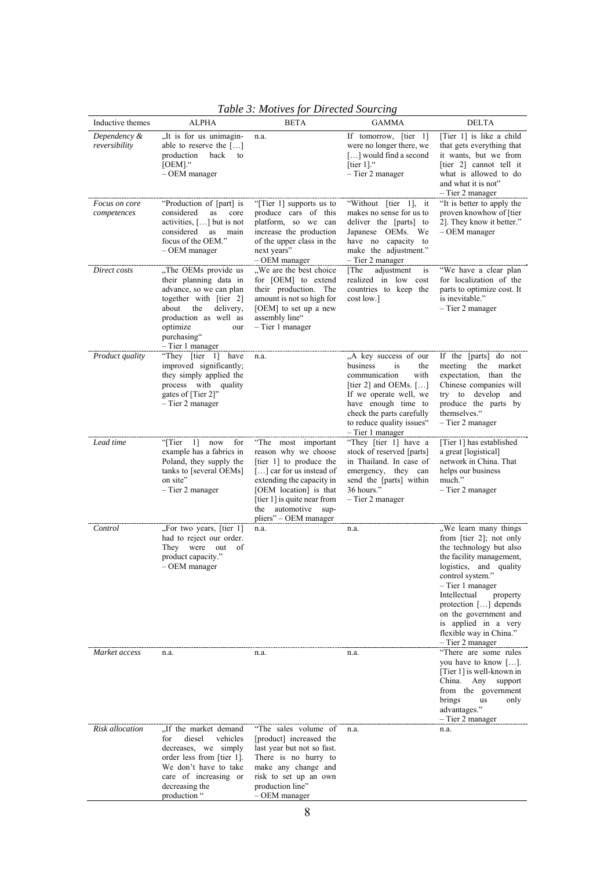| Inductive themes              | <b>ALPHA</b>                                                                                                                                                                                                    | <b>BETA</b>                                                                                                                                                                                                                                 | <b>GAMMA</b>                                                                                                                                                                                                                           | <b>DELTA</b>                                                                                                                                                                                                                                                                                                                          |
|-------------------------------|-----------------------------------------------------------------------------------------------------------------------------------------------------------------------------------------------------------------|---------------------------------------------------------------------------------------------------------------------------------------------------------------------------------------------------------------------------------------------|----------------------------------------------------------------------------------------------------------------------------------------------------------------------------------------------------------------------------------------|---------------------------------------------------------------------------------------------------------------------------------------------------------------------------------------------------------------------------------------------------------------------------------------------------------------------------------------|
| Dependency &<br>reversibility | "It is for us unimagin-<br>able to reserve the $[\dots]$<br>production<br>back<br>to<br>$[OEM]$ ."<br>- OEM manager                                                                                             | n.a.                                                                                                                                                                                                                                        | If tomorrow, [tier 1]<br>were no longer there, we<br>[] would find a second<br>[tier $1$ ]."<br>- Tier 2 manager                                                                                                                       | [Tier 1] is like a child<br>that gets everything that<br>it wants, but we from<br>[tier 2] cannot tell it<br>what is allowed to do<br>and what it is not"<br>- Tier 2 manager                                                                                                                                                         |
| Focus on core<br>competences  | "Production of [part] is<br>considered<br>as<br>core<br>activities, $[\dots]$ but is not<br>considered<br>as<br>main<br>focus of the OEM."<br>$-$ OEM manager                                                   | "[Tier 1] supports us to<br>produce cars of this<br>platform, so we can<br>increase the production<br>of the upper class in the<br>next years"<br>- OEM manager                                                                             | "Without [tier 1], it<br>makes no sense for us to<br>deliver the [parts] to<br>Japanese OEMs. We<br>have no capacity to<br>make the adjustment."<br>- Tier 2 manager                                                                   | "It is better to apply the<br>proven knowhow of [tier<br>2]. They know it better."<br>$-$ OEM manager                                                                                                                                                                                                                                 |
| Direct costs                  | "The OEMs provide us<br>their planning data in<br>advance, so we can plan<br>together with [tier 2]<br>the<br>about<br>delivery,<br>production as well as<br>optimize<br>our<br>purchasing"<br>- Tier 1 manager | "We are the best choice<br>for [OEM] to extend<br>their production. The<br>amount is not so high for<br>[OEM] to set up a new<br>assembly line"<br>- Tier 1 manager                                                                         | adjustment<br>[The<br>is<br>realized in low cost<br>countries to keep the<br>cost low.]                                                                                                                                                | "We have a clear plan<br>for localization of the<br>parts to optimize cost. It<br>is inevitable."<br>- Tier 2 manager                                                                                                                                                                                                                 |
| <i>Product quality</i>        | "They [tier 1] have<br>improved significantly;<br>they simply applied the<br>process with quality<br>gates of [Tier 2]"<br>- Tier 2 manager                                                                     | n.a.                                                                                                                                                                                                                                        | "A key success of our<br>business<br>is<br>the<br>communication<br>with<br>[tier 2] and OEMs. $[\dots]$<br>If we operate well, we<br>have enough time to<br>check the parts carefully<br>to reduce quality issues"<br>- Tier 1 manager | If the [parts] do not<br>meeting the<br>market<br>expectation, than<br>the<br>Chinese companies will<br>try to develop<br>and<br>produce the parts by<br>themselves."<br>- Tier 2 manager                                                                                                                                             |
| Lead time                     | 1<br>for<br>"[Tier<br>now<br>example has a fabrics in<br>Poland, they supply the<br>tanks to [several OEMs]<br>on site"<br>- Tier 2 manager                                                                     | "The most important<br>reason why we choose<br>[tier 1] to produce the<br>[] car for us instead of<br>extending the capacity in<br>[OEM location] is that<br>[tier 1] is quite near from<br>the automotive<br>sup-<br>pliers" - OEM manager | "They [tier 1] have a<br>stock of reserved [parts]<br>in Thailand. In case of<br>emergency, they can<br>send the [parts] within<br>36 hours."<br>- Tier 2 manager                                                                      | [Tier 1] has established<br>a great [logistical]<br>network in China. That<br>helps our business<br>much."<br>- Tier 2 manager                                                                                                                                                                                                        |
| Control                       | "For two years, [tier 1]<br>had to reject our order.<br>They were out<br>of<br>product capacity."<br>$-$ OEM manager                                                                                            | n.a.                                                                                                                                                                                                                                        | n.a.                                                                                                                                                                                                                                   | "We learn many things<br>from [tier 2]; not only<br>the technology but also<br>the facility management,<br>logistics, and quality<br>control system."<br>- Tier 1 manager<br>Intellectual<br>property<br>protection $[\dots]$ depends<br>on the government and<br>is applied in a very<br>flexible way in China."<br>- Tier 2 manager |
| Market access                 | n.a.                                                                                                                                                                                                            | n.a.                                                                                                                                                                                                                                        | n.a.                                                                                                                                                                                                                                   | "There are some rules<br>you have to know $[\dots]$ .<br>[Tier 1] is well-known in<br>China.<br>Any<br>support<br>from the government<br>brings<br>us<br>only<br>advantages."<br>- Tier 2 manager                                                                                                                                     |
| Risk allocation               | "If the market demand<br>diesel<br>for<br>vehicles<br>decreases, we simply<br>order less from [tier 1].<br>We don't have to take<br>care of increasing or<br>decreasing the<br>production "                     | "The sales volume of<br>[product] increased the<br>last year but not so fast.<br>There is no hurry to<br>make any change and<br>risk to set up an own<br>production line"<br>$-$ OEM manager                                                | n.a.                                                                                                                                                                                                                                   | n.a.                                                                                                                                                                                                                                                                                                                                  |

*Table 3: Motives for Directed Sourcing*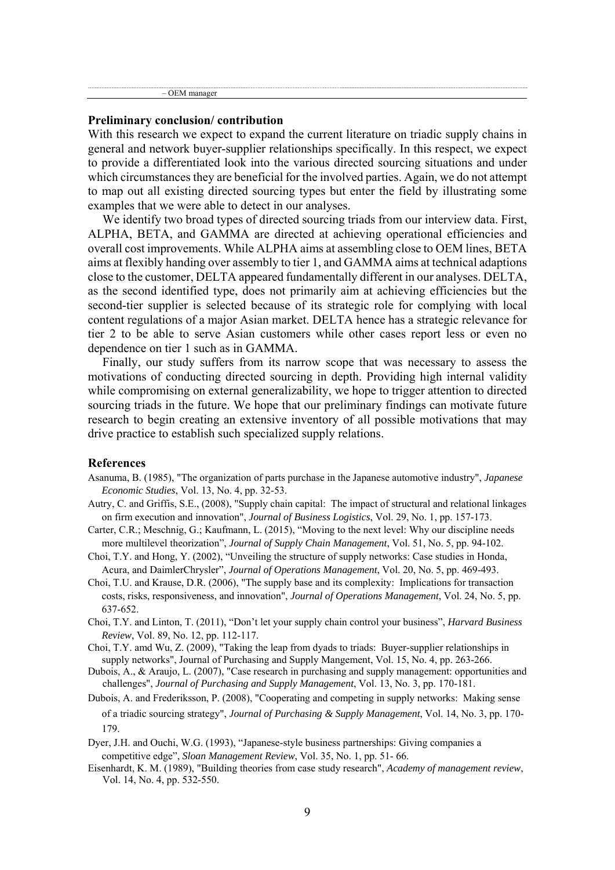– OEM manager

#### **Preliminary conclusion/ contribution**

With this research we expect to expand the current literature on triadic supply chains in general and network buyer-supplier relationships specifically. In this respect, we expect to provide a differentiated look into the various directed sourcing situations and under which circumstances they are beneficial for the involved parties. Again, we do not attempt to map out all existing directed sourcing types but enter the field by illustrating some examples that we were able to detect in our analyses.

We identify two broad types of directed sourcing triads from our interview data. First, ALPHA, BETA, and GAMMA are directed at achieving operational efficiencies and overall cost improvements. While ALPHA aims at assembling close to OEM lines, BETA aims at flexibly handing over assembly to tier 1, and GAMMA aims at technical adaptions close to the customer, DELTA appeared fundamentally different in our analyses. DELTA, as the second identified type, does not primarily aim at achieving efficiencies but the second-tier supplier is selected because of its strategic role for complying with local content regulations of a major Asian market. DELTA hence has a strategic relevance for tier 2 to be able to serve Asian customers while other cases report less or even no dependence on tier 1 such as in GAMMA.

Finally, our study suffers from its narrow scope that was necessary to assess the motivations of conducting directed sourcing in depth. Providing high internal validity while compromising on external generalizability, we hope to trigger attention to directed sourcing triads in the future. We hope that our preliminary findings can motivate future research to begin creating an extensive inventory of all possible motivations that may drive practice to establish such specialized supply relations.

#### **References**

- Asanuma, B. (1985), "The organization of parts purchase in the Japanese automotive industry", *Japanese Economic Studies*, Vol. 13, No. 4, pp. 32-53.
- Autry, C. and Griffis, S.E., (2008), "Supply chain capital: The impact of structural and relational linkages on firm execution and innovation", *Journal of Business Logistics*, Vol. 29, No. 1, pp. 157-173.
- Carter, C.R.; Meschnig, G.; Kaufmann, L. (2015), "Moving to the next level: Why our discipline needs more multilevel theorization", *Journal of Supply Chain Management*, Vol. 51, No. 5, pp. 94-102.
- Choi, T.Y. and Hong, Y. (2002), "Unveiling the structure of supply networks: Case studies in Honda, Acura, and DaimlerChrysler", *Journal of Operations Management*, Vol. 20, No. 5, pp. 469-493.
- Choi, T.U. and Krause, D.R. (2006), "The supply base and its complexity: Implications for transaction costs, risks, responsiveness, and innovation", *Journal of Operations Management*, Vol. 24, No. 5, pp. 637-652.
- Choi, T.Y. and Linton, T. (2011), "Don't let your supply chain control your business", *Harvard Business Review*, Vol. 89, No. 12, pp. 112-117.
- Choi, T.Y. amd Wu, Z. (2009), "Taking the leap from dyads to triads: Buyer-supplier relationships in supply networks", Journal of Purchasing and Supply Mangement, Vol. 15, No. 4, pp. 263-266.
- Dubois, A., & Araujo, L. (2007), "Case research in purchasing and supply management: opportunities and challenges", *Journal of Purchasing and Supply Management*, Vol. 13, No. 3, pp. 170-181.
- Dubois, A. and Frederiksson, P. (2008), "Cooperating and competing in supply networks: Making sense of a triadic sourcing strategy", *Journal of Purchasing & Supply Management*, Vol. 14, No. 3, pp. 170- 179.
- Dyer, J.H. and Ouchi, W.G. (1993), "Japanese-style business partnerships: Giving companies a competitive edge", *Sloan Management Review*, Vol. 35, No. 1, pp. 51- 66.
- Eisenhardt, K. M. (1989), "Building theories from case study research", *Academy of management review*, Vol. 14, No. 4, pp. 532-550.